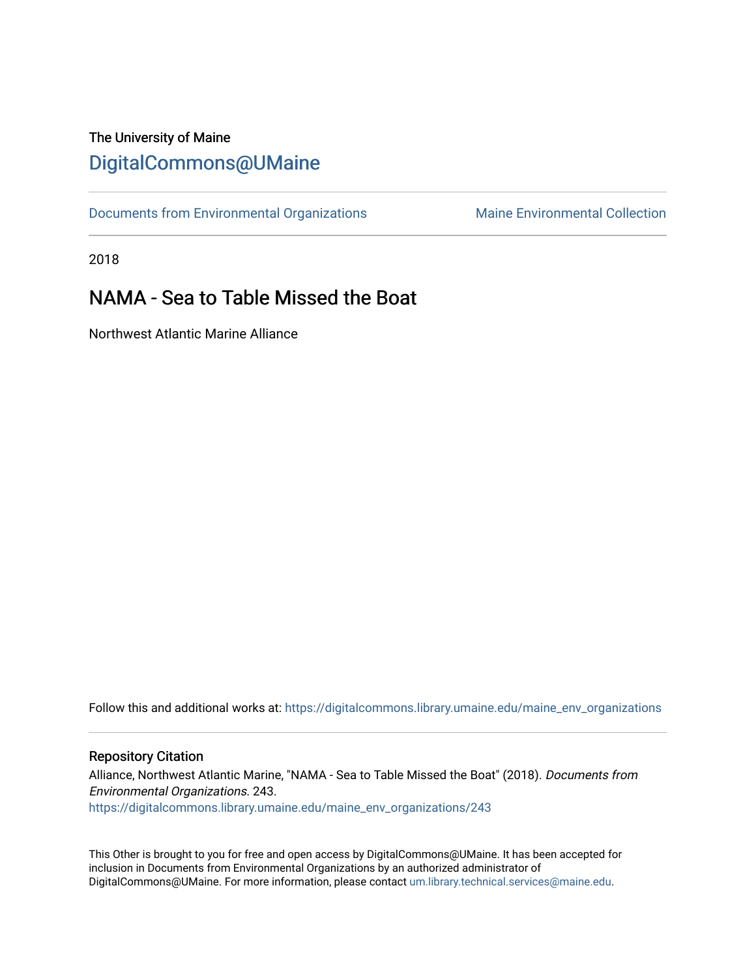## The University of Maine [DigitalCommons@UMaine](https://digitalcommons.library.umaine.edu/)

[Documents from Environmental Organizations](https://digitalcommons.library.umaine.edu/maine_env_organizations) Maine Environmental Collection

2018

## NAMA - Sea to Table Missed the Boat

Northwest Atlantic Marine Alliance

Follow this and additional works at: [https://digitalcommons.library.umaine.edu/maine\\_env\\_organizations](https://digitalcommons.library.umaine.edu/maine_env_organizations?utm_source=digitalcommons.library.umaine.edu%2Fmaine_env_organizations%2F243&utm_medium=PDF&utm_campaign=PDFCoverPages)

## Repository Citation

Alliance, Northwest Atlantic Marine, "NAMA - Sea to Table Missed the Boat" (2018). Documents from Environmental Organizations. 243. [https://digitalcommons.library.umaine.edu/maine\\_env\\_organizations/243](https://digitalcommons.library.umaine.edu/maine_env_organizations/243?utm_source=digitalcommons.library.umaine.edu%2Fmaine_env_organizations%2F243&utm_medium=PDF&utm_campaign=PDFCoverPages)

This Other is brought to you for free and open access by DigitalCommons@UMaine. It has been accepted for inclusion in Documents from Environmental Organizations by an authorized administrator of DigitalCommons@UMaine. For more information, please contact [um.library.technical.services@maine.edu](mailto:um.library.technical.services@maine.edu).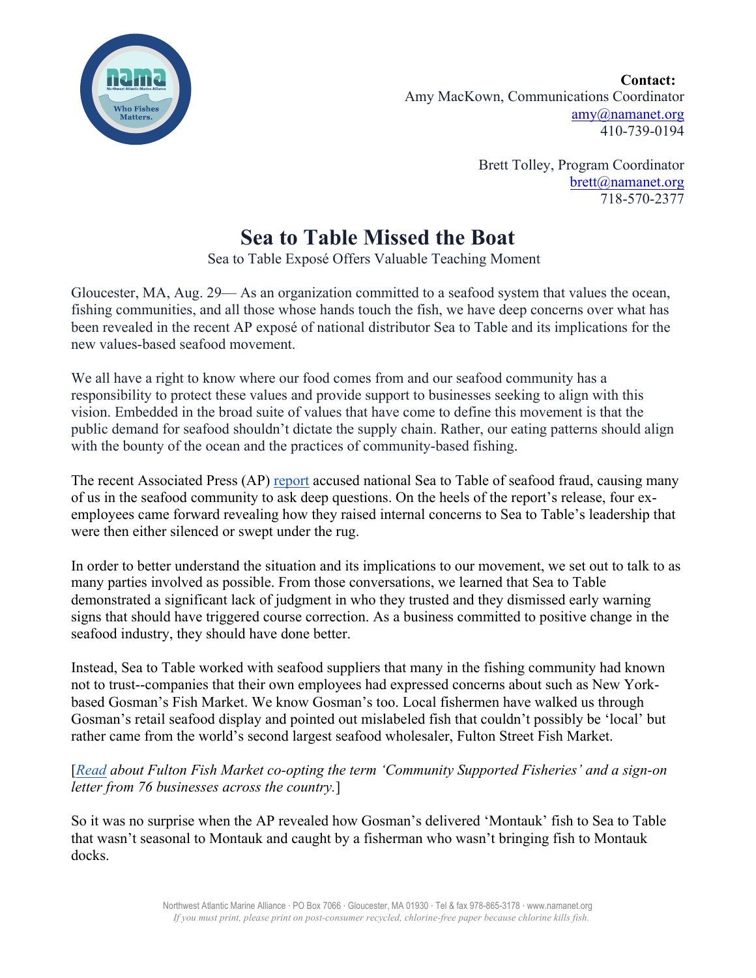

**Contact:**  Amy MacKown, Communications Coordinator amy@namanet.org 410-739-0194

> Brett Tolley, Program Coordinator brett@namanet.org 718-570-2377

## **Sea to Table Missed the Boat**

Sea to Table Exposé Offers Valuable Teaching Moment

Gloucester, MA, Aug. 29— As an organization committed to a seafood system that values the ocean, fishing communities, and all those whose hands touch the fish, we have deep concerns over what has been revealed in the recent AP exposé of national distributor Sea to Table and its implications for the new values-based seafood movement.

We all have a right to know where our food comes from and our seafood community has a responsibility to protect these values and provide support to businesses seeking to align with this vision. Embedded in the broad suite of values that have come to define this movement is that the public demand for seafood shouldn't dictate the supply chain. Rather, our eating patterns should align with the bounty of the ocean and the practices of community-based fishing.

The recent Associated Press (AP) report accused national Sea to Table of seafood fraud, causing many of us in the seafood community to ask deep questions. On the heels of the report's release, four exemployees came forward revealing how they raised internal concerns to Sea to Table's leadership that were then either silenced or swept under the rug.

In order to better understand the situation and its implications to our movement, we set out to talk to as many parties involved as possible. From those conversations, we learned that Sea to Table demonstrated a significant lack of judgment in who they trusted and they dismissed early warning signs that should have triggered course correction. As a business committed to positive change in the seafood industry, they should have done better.

Instead, Sea to Table worked with seafood suppliers that many in the fishing community had known not to trust--companies that their own employees had expressed concerns about such as New Yorkbased Gosman's Fish Market. We know Gosman's too. Local fishermen have walked us through Gosman's retail seafood display and pointed out mislabeled fish that couldn't possibly be 'local' but rather came from the world's second largest seafood wholesaler, Fulton Street Fish Market.

[*Read about Fulton Fish Market co-opting the term 'Community Supported Fisheries' and a sign-on letter from 76 businesses across the country.*]

So it was no surprise when the AP revealed how Gosman's delivered 'Montauk' fish to Sea to Table that wasn't seasonal to Montauk and caught by a fisherman who wasn't bringing fish to Montauk docks.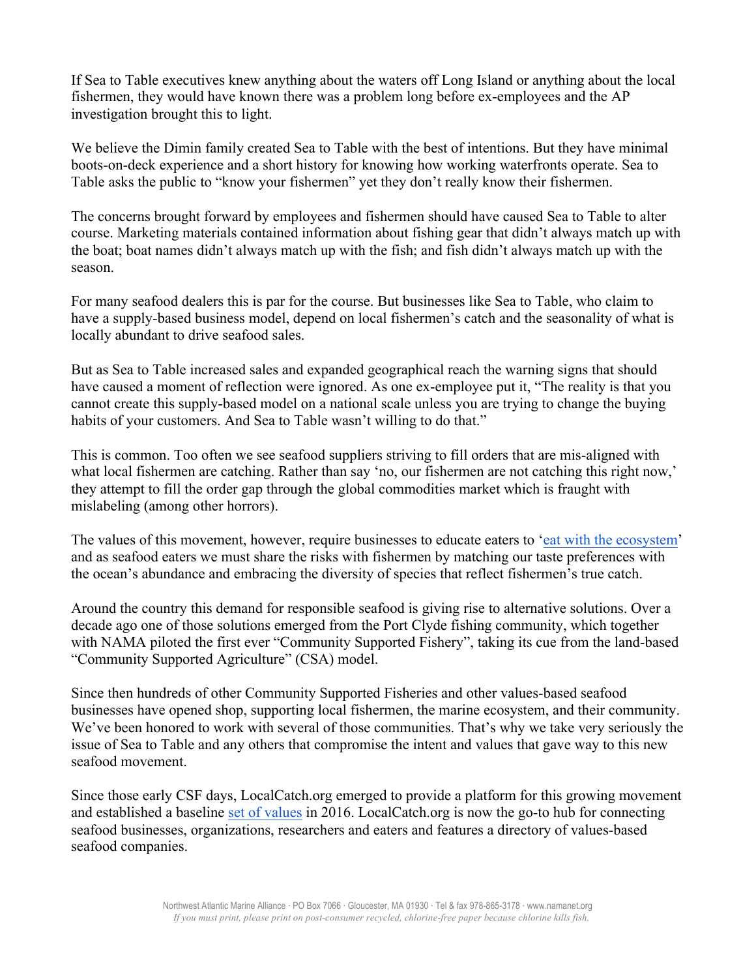If Sea to Table executives knew anything about the waters off Long Island or anything about the local fishermen, they would have known there was a problem long before ex-employees and the AP investigation brought this to light.

We believe the Dimin family created Sea to Table with the best of intentions. But they have minimal boots-on-deck experience and a short history for knowing how working waterfronts operate. Sea to Table asks the public to "know your fishermen" yet they don't really know their fishermen.

The concerns brought forward by employees and fishermen should have caused Sea to Table to alter course. Marketing materials contained information about fishing gear that didn't always match up with the boat; boat names didn't always match up with the fish; and fish didn't always match up with the season.

For many seafood dealers this is par for the course. But businesses like Sea to Table, who claim to have a supply-based business model, depend on local fishermen's catch and the seasonality of what is locally abundant to drive seafood sales.

But as Sea to Table increased sales and expanded geographical reach the warning signs that should have caused a moment of reflection were ignored. As one ex-employee put it, "The reality is that you cannot create this supply-based model on a national scale unless you are trying to change the buying habits of your customers. And Sea to Table wasn't willing to do that."

This is common. Too often we see seafood suppliers striving to fill orders that are mis-aligned with what local fishermen are catching. Rather than say 'no, our fishermen are not catching this right now,' they attempt to fill the order gap through the global commodities market which is fraught with mislabeling (among other horrors).

The values of this movement, however, require businesses to educate eaters to 'eat with the ecosystem' and as seafood eaters we must share the risks with fishermen by matching our taste preferences with the ocean's abundance and embracing the diversity of species that reflect fishermen's true catch.

Around the country this demand for responsible seafood is giving rise to alternative solutions. Over a decade ago one of those solutions emerged from the Port Clyde fishing community, which together with NAMA piloted the first ever "Community Supported Fishery", taking its cue from the land-based "Community Supported Agriculture" (CSA) model.

Since then hundreds of other Community Supported Fisheries and other values-based seafood businesses have opened shop, supporting local fishermen, the marine ecosystem, and their community. We've been honored to work with several of those communities. That's why we take very seriously the issue of Sea to Table and any others that compromise the intent and values that gave way to this new seafood movement.

Since those early CSF days, LocalCatch.org emerged to provide a platform for this growing movement and established a baseline set of values in 2016. LocalCatch.org is now the go-to hub for connecting seafood businesses, organizations, researchers and eaters and features a directory of values-based seafood companies.